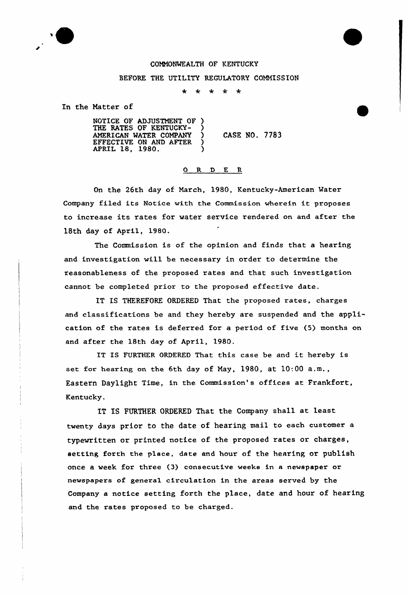

## COMMONWEALTH OF KENTUCKY

## BEFORE THE UTILITY REGULATORY COMMISSION

 $\star$  $\star$  $\star$  $\star$  $\star$ 

In the Matter of

NOTICE OF ADJUSTMENT OF ) THE RATES OF KENTUCKY-AMERICAN WATER COMPANY ) EFFECTIVE ON AND AFTER ?  $\overline{APRIL}$  18, 1980. CASE NO. 7783

## 0 R <sup>D</sup> E R

On the 26th day of March, 1980, Kentucky-American Water Company filed its Notice with the Commission wherein it proposes to increase its rates for water service rendered on and after the 18th day of April, 1980.

The Commission is of the opinion and finds that a heaxing and investigation will be necessary in order to determine the reasonableness of the pxoposed xates and that such investigation cannot be completed prior to the proposed effective date.

IT IS THEREFORE ORDERED That the proposed rates, charges and classifications be and they hereby are suspended and the application of the rates is deferred for a period of five (5) months on and after the 18th day of April, 1980.

IT IS FURTHER ORDERED That this case be and it hereby is set for hearing on the 6th day of May, 1980, at 10:00 a.m., Eastern Daylight Time, in the Commission's offices at Frankfox't, Kentucky.

IT IS FURTHER ORDERED That the Company shall at least twenty days prior to the date of hearing mail to each customer a typewritten or printed notice of the proposed rates or charges, setting forth the place, date and hour of the hearing or publish once a week for three (3) consecutive weeks in a newspaper or newspapers of general circulation in the areas served by the Company a notice setting forth the place, date and hour of hearing and the rates proposed to be charged.